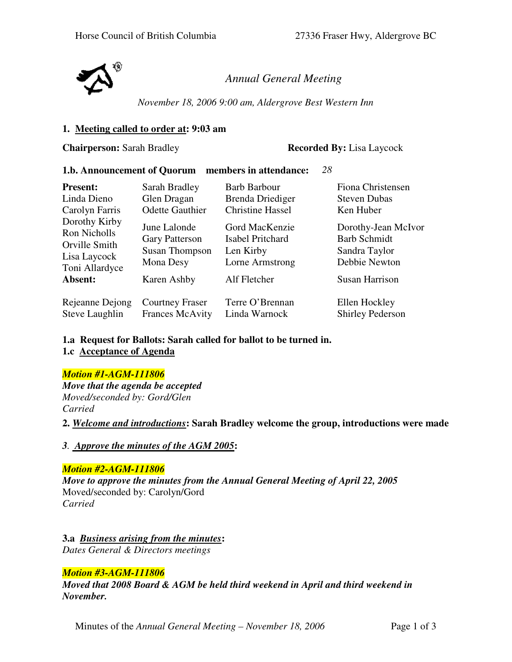

*Annual General Meeting*

*November 18, 2006 9:00 am, Aldergrove Best Western Inn* 

### **1. Meeting called to order at: 9:03 am**

**Chairperson:** Sarah Bradley **Recorded By:** Lisa Laycock

### **1.b. Announcement of Quorum members in attendance:** *28*

| <b>Present:</b>                                                                  | Sarah Bradley                                                               | <b>Barb Barbour</b>                                                | Fiona Christensen                                                            |
|----------------------------------------------------------------------------------|-----------------------------------------------------------------------------|--------------------------------------------------------------------|------------------------------------------------------------------------------|
| Linda Dieno                                                                      | Glen Dragan                                                                 | Brenda Driediger                                                   | <b>Steven Dubas</b>                                                          |
| Carolyn Farris                                                                   | <b>Odette Gauthier</b>                                                      | <b>Christine Hassel</b>                                            | Ken Huber                                                                    |
| Dorothy Kirby<br>Ron Nicholls<br>Orville Smith<br>Lisa Laycock<br>Toni Allardyce | June Lalonde<br><b>Gary Patterson</b><br><b>Susan Thompson</b><br>Mona Desy | Gord MacKenzie<br>Isabel Pritchard<br>Len Kirby<br>Lorne Armstrong | Dorothy-Jean McIvor<br><b>Barb Schmidt</b><br>Sandra Taylor<br>Debbie Newton |
| Absent:                                                                          | Karen Ashby                                                                 | Alf Fletcher                                                       | <b>Susan Harrison</b>                                                        |
| Rejeanne Dejong                                                                  | <b>Courtney Fraser</b>                                                      | Terre O'Brennan                                                    | Ellen Hockley                                                                |
| Steve Laughlin                                                                   | <b>Frances McAvity</b>                                                      | Linda Warnock                                                      | <b>Shirley Pederson</b>                                                      |

## **1.a Request for Ballots: Sarah called for ballot to be turned in.**

**1.c Acceptance of Agenda**

## *Motion #1-AGM-111806*

*Move that the agenda be accepted Moved/seconded by: Gord/Glen Carried*

**2.** *Welcome and introductions***: Sarah Bradley welcome the group, introductions were made**

*3. Approve the minutes of the AGM 2005***:**

## *Motion #2-AGM-111806*

*Move to approve the minutes from the Annual General Meeting of April 22, 2005*  Moved/seconded by: Carolyn/Gord *Carried* 

**3.a** *Business arising from the minutes***:**  *Dates General & Directors meetings*

## *Motion #3-AGM-111806*

*Moved that 2008 Board & AGM be held third weekend in April and third weekend in November.* 

Minutes of the *Annual General Meeting – November 18, 2006* Page 1 of 3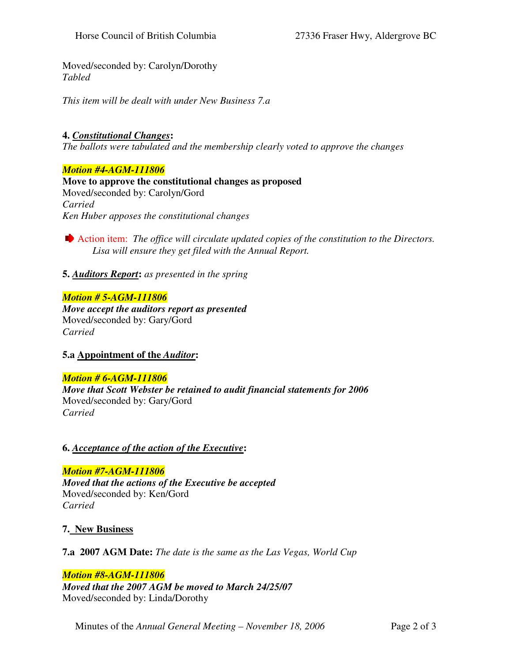Moved/seconded by: Carolyn/Dorothy *Tabled* 

*This item will be dealt with under New Business 7.a*

# **4.** *Constitutional Changes***:**

*The ballots were tabulated and the membership clearly voted to approve the changes*

### *Motion #4-AGM-111806*

**Move to approve the constitutional changes as proposed** Moved/seconded by: Carolyn/Gord *Carried Ken Huber apposes the constitutional changes* 

Action item: *The office will circulate updated copies of the constitution to the Directors. Lisa will ensure they get filed with the Annual Report.*

**5.** *Auditors Report***:** *as presented in the spring* 

### *Motion # 5-AGM-111806*

*Move accept the auditors report as presented* Moved/seconded by: Gary/Gord *Carried*

## **5.a Appointment of the** *Auditor***:**

### *Motion # 6-AGM-111806*

*Move that Scott Webster be retained to audit financial statements for 2006* Moved/seconded by: Gary/Gord *Carried* 

## **6.** *Acceptance of the action of the Executive***:**

# *Motion #7-AGM-111806 Moved that the actions of the Executive be accepted* Moved/seconded by: Ken/Gord *Carried*

**7. New Business**

**7.a 2007 AGM Date:** *The date is the same as the Las Vegas, World Cup* 

## *Motion #8-AGM-111806*

*Moved that the 2007 AGM be moved to March 24/25/07* Moved/seconded by: Linda/Dorothy

Minutes of the *Annual General Meeting – November 18, 2006* Page 2 of 3